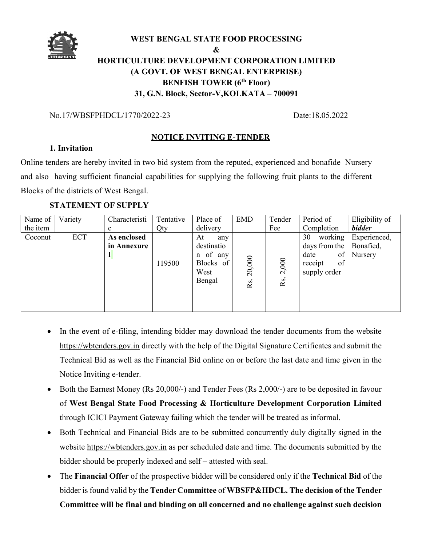

#### WEST BENGAL STATE FOOD PROCESSING

# $\&$ HORTICULTURE DEVELOPMENT CORPORATION LIMITED (A GOVT. OF WEST BENGAL ENTERPRISE) BENFISH TOWER (6<sup>th</sup> Floor) 31, G.N. Block, Sector-V, KOLKATA – 700091

### No.17/WBSFPHDCL/1770/2022-23 Date:18.05.2022

## NOTICE INVITING E-TENDER

## 1. Invitation

Online tenders are hereby invited in two bid system from the reputed, experienced and bonafide Nursery and also having sufficient financial capabilities for supplying the following fruit plants to the different Blocks of the districts of West Bengal.

## STATEMENT OF SUPPLY

| Name of  | Variety | Characteristi              | Tentative | Place of                                                           | <b>EMD</b>               | Tender       | Period of                                                                     | Eligibility of                       |
|----------|---------|----------------------------|-----------|--------------------------------------------------------------------|--------------------------|--------------|-------------------------------------------------------------------------------|--------------------------------------|
| the item |         | $\mathbf c$                | Qty       | delivery                                                           |                          | Fee          | Completion                                                                    | <b>bidder</b>                        |
| Coconut  | ECT     | As enclosed<br>in Annexure | 119500    | At<br>any<br>destinatio<br>n of any<br>Blocks of<br>West<br>Bengal | 20,000<br>R <sub>S</sub> | 2,000<br>Rs. | working<br>30<br>days from the<br>of<br>date<br>of<br>receipt<br>supply order | Experienced,<br>Bonafied,<br>Nursery |

- In the event of e-filing, intending bidder may download the tender documents from the website https://wbtenders.gov.in directly with the help of the Digital Signature Certificates and submit the Technical Bid as well as the Financial Bid online on or before the last date and time given in the Notice Inviting e-tender.
- Both the Earnest Money (Rs 20,000/-) and Tender Fees (Rs 2,000/-) are to be deposited in favour of West Bengal State Food Processing & Horticulture Development Corporation Limited through ICICI Payment Gateway failing which the tender will be treated as informal.
- Both Technical and Financial Bids are to be submitted concurrently duly digitally signed in the website https://wbtenders.gov.in as per scheduled date and time. The documents submitted by the bidder should be properly indexed and self – attested with seal.
- The Financial Offer of the prospective bidder will be considered only if the Technical Bid of the bidder is found valid by the Tender Committee of WBSFP&HDCL. The decision of the Tender Committee will be final and binding on all concerned and no challenge against such decision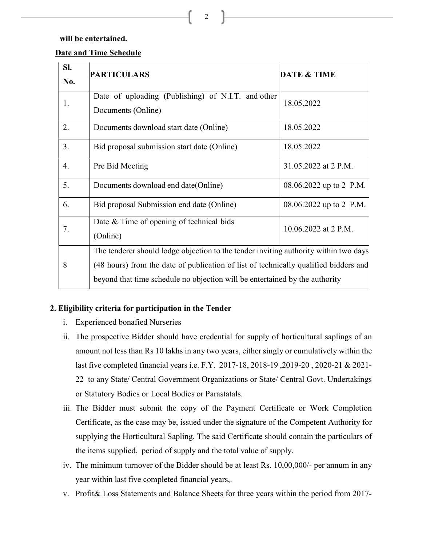will be entertained.

## Date and Time Schedule

| SI. | <b>PARTICULARS</b>                                                                   | <b>DATE &amp; TIME</b>  |  |  |  |
|-----|--------------------------------------------------------------------------------------|-------------------------|--|--|--|
| No. |                                                                                      |                         |  |  |  |
| 1.  | Date of uploading (Publishing) of N.I.T. and other<br>Documents (Online)             | 18.05.2022              |  |  |  |
| 2.  | Documents download start date (Online)                                               | 18.05.2022              |  |  |  |
| 3.  | Bid proposal submission start date (Online)                                          | 18.05.2022              |  |  |  |
| 4.  | Pre Bid Meeting                                                                      | 31.05.2022 at 2 P.M.    |  |  |  |
| 5.  | Documents download end date (Online)                                                 | 08.06.2022 up to 2 P.M. |  |  |  |
| 6.  | Bid proposal Submission end date (Online)                                            | 08.06.2022 up to 2 P.M. |  |  |  |
| 7.  | Date & Time of opening of technical bids                                             | 10.06.2022 at 2 P.M.    |  |  |  |
|     | (Online)                                                                             |                         |  |  |  |
|     | The tenderer should lodge objection to the tender inviting authority within two days |                         |  |  |  |
| 8   | (48 hours) from the date of publication of list of technically qualified bidders and |                         |  |  |  |
|     | beyond that time schedule no objection will be entertained by the authority          |                         |  |  |  |

## 2. Eligibility criteria for participation in the Tender

- i. Experienced bonafied Nurseries
- ii. The prospective Bidder should have credential for supply of horticultural saplings of an amount not less than Rs 10 lakhs in any two years, either singly or cumulatively within the last five completed financial years i.e. F.Y. 2017-18, 2018-19 ,2019-20 , 2020-21 & 2021- 22 to any State/ Central Government Organizations or State/ Central Govt. Undertakings or Statutory Bodies or Local Bodies or Parastatals.
- iii. The Bidder must submit the copy of the Payment Certificate or Work Completion Certificate, as the case may be, issued under the signature of the Competent Authority for supplying the Horticultural Sapling. The said Certificate should contain the particulars of the items supplied, period of supply and the total value of supply.
- iv. The minimum turnover of the Bidder should be at least Rs. 10,00,000/- per annum in any year within last five completed financial years,.
- v. Profit& Loss Statements and Balance Sheets for three years within the period from 2017-

2  $\Box$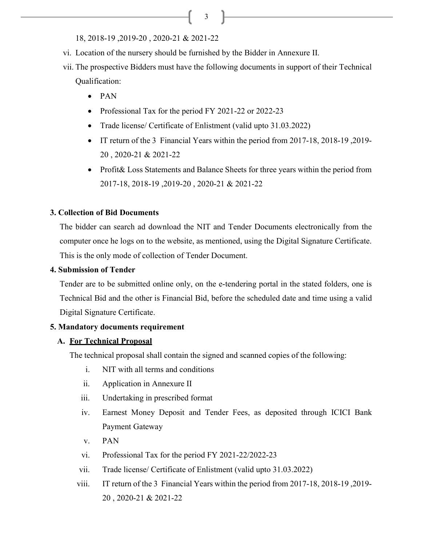$\overline{\phantom{a}3\phantom{a}}$ 

18, 2018-19 ,2019-20 , 2020-21 & 2021-22

- vi. Location of the nursery should be furnished by the Bidder in Annexure II.
- vii. The prospective Bidders must have the following documents in support of their Technical Qualification:
	- $\bullet$  PAN
	- Professional Tax for the period FY 2021-22 or 2022-23
	- Trade license/ Certificate of Enlistment (valid upto 31.03.2022)
	- IT return of the 3 Financial Years within the period from 2017-18, 2018-19, 2019-20 , 2020-21 & 2021-22
	- Profit & Loss Statements and Balance Sheets for three years within the period from 2017-18, 2018-19 ,2019-20 , 2020-21 & 2021-22

## 3. Collection of Bid Documents

The bidder can search ad download the NIT and Tender Documents electronically from the computer once he logs on to the website, as mentioned, using the Digital Signature Certificate. This is the only mode of collection of Tender Document.

#### 4. Submission of Tender

Tender are to be submitted online only, on the e-tendering portal in the stated folders, one is Technical Bid and the other is Financial Bid, before the scheduled date and time using a valid Digital Signature Certificate.

#### 5. Mandatory documents requirement

## A. For Technical Proposal

The technical proposal shall contain the signed and scanned copies of the following:

- i. NIT with all terms and conditions
- ii. Application in Annexure II
- iii. Undertaking in prescribed format
- iv. Earnest Money Deposit and Tender Fees, as deposited through ICICI Bank Payment Gateway
- v. PAN
- vi. Professional Tax for the period FY 2021-22/2022-23
- vii. Trade license/ Certificate of Enlistment (valid upto 31.03.2022)
- viii. IT return of the 3 Financial Years within the period from 2017-18, 2018-19 ,2019- 20 , 2020-21 & 2021-22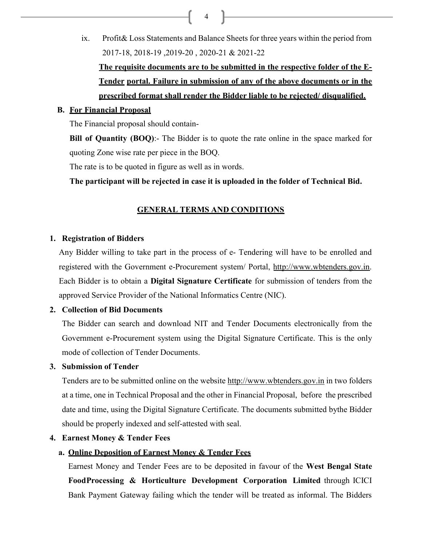ix. Profit& Loss Statements and Balance Sheets for three years within the period from 2017-18, 2018-19 ,2019-20 , 2020-21 & 2021-22 The requisite documents are to be submitted in the respective folder of the E-Tender portal. Failure in submission of any of the above documents or in the

4

# prescribed format shall render the Bidder liable to be rejected/ disqualified.

### B. For Financial Proposal

The Financial proposal should contain-

Bill of Quantity (BOQ):- The Bidder is to quote the rate online in the space marked for quoting Zone wise rate per piece in the BOQ.

The rate is to be quoted in figure as well as in words.

The participant will be rejected in case it is uploaded in the folder of Technical Bid.

## GENERAL TERMS AND CONDITIONS

#### 1. Registration of Bidders

Any Bidder willing to take part in the process of e- Tendering will have to be enrolled and registered with the Government e-Procurement system/ Portal, http://www.wbtenders.gov.in. Each Bidder is to obtain a Digital Signature Certificate for submission of tenders from the approved Service Provider of the National Informatics Centre (NIC).

#### 2. Collection of Bid Documents

The Bidder can search and download NIT and Tender Documents electronically from the Government e-Procurement system using the Digital Signature Certificate. This is the only mode of collection of Tender Documents.

#### 3. Submission of Tender

Tenders are to be submitted online on the website http://www.wbtenders.gov.in in two folders at a time, one in Technical Proposal and the other in Financial Proposal, before the prescribed date and time, using the Digital Signature Certificate. The documents submitted by the Bidder should be properly indexed and self-attested with seal.

#### 4. Earnest Money & Tender Fees

## a. Online Deposition of Earnest Money & Tender Fees

Earnest Money and Tender Fees are to be deposited in favour of the West Bengal State Food Processing & Horticulture Development Corporation Limited through ICICI Bank Payment Gateway failing which the tender will be treated as informal. The Bidders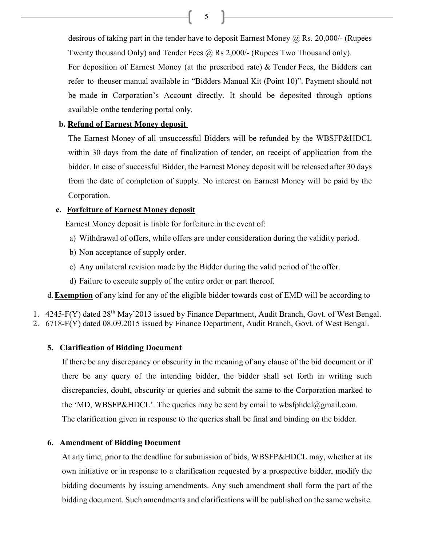5  $\Box$ 

desirous of taking part in the tender have to deposit Earnest Money  $\omega$ , Rs. 20,000/- (Rupees Twenty thousand Only) and Tender Fees @ Rs 2,000/- (Rupees Two Thousand only).

For deposition of Earnest Money (at the prescribed rate) & Tender Fees, the Bidders can refer to the user manual available in "Bidders Manual Kit (Point 10)". Payment should not be made in Corporation's Account directly. It should be deposited through options available on the tendering portal only.

#### b. Refund of Earnest Money deposit

The Earnest Money of all unsuccessful Bidders will be refunded by the WBSFP&HDCL within 30 days from the date of finalization of tender, on receipt of application from the bidder. In case of successful Bidder, the Earnest Money deposit will be released after 30 days from the date of completion of supply. No interest on Earnest Money will be paid by the Corporation.

#### c. Forfeiture of Earnest Money deposit

Earnest Money deposit is liable for forfeiture in the event of:

- a) Withdrawal of offers, while offers are under consideration during the validity period.
- b) Non acceptance of supply order.
- c) Any unilateral revision made by the Bidder during the valid period of the offer.
- d) Failure to execute supply of the entire order or part thereof.

d. **Exemption** of any kind for any of the eligible bidder towards cost of EMD will be according to

- 1. 4245-F(Y) dated 28<sup>th</sup> May'2013 issued by Finance Department, Audit Branch, Govt. of West Bengal.
- 2. 6718-F(Y) dated 08.09.2015 issued by Finance Department, Audit Branch, Govt. of West Bengal.

#### 5. Clarification of Bidding Document

If there be any discrepancy or obscurity in the meaning of any clause of the bid document or if there be any query of the intending bidder, the bidder shall set forth in writing such discrepancies, doubt, obscurity or queries and submit the same to the Corporation marked to the 'MD, WBSFP&HDCL'. The queries may be sent by email to wbsfphdcl $@g$ mail.com. The clarification given in response to the queries shall be final and binding on the bidder.

#### 6. Amendment of Bidding Document

At any time, prior to the deadline for submission of bids, WBSFP&HDCL may, whether at its own initiative or in response to a clarification requested by a prospective bidder, modify the bidding documents by issuing amendments. Any such amendment shall form the part of the bidding document. Such amendments and clarifications will be published on the same website.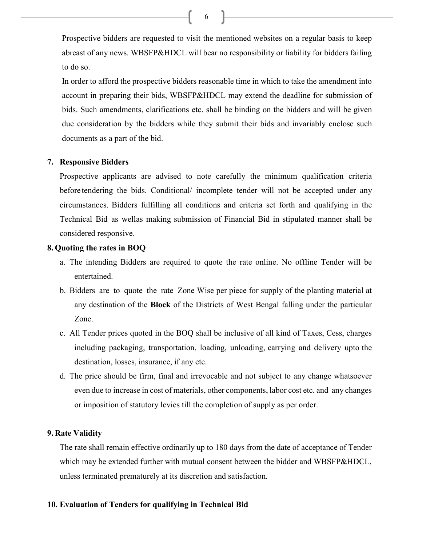Prospective bidders are requested to visit the mentioned websites on a regular basis to keep abreast of any news. WBSFP&HDCL will bear no responsibility or liability for bidders failing to do so.

In order to afford the prospective bidders reasonable time in which to take the amendment into account in preparing their bids, WBSFP&HDCL may extend the deadline for submission of bids. Such amendments, clarifications etc. shall be binding on the bidders and will be given due consideration by the bidders while they submit their bids and invariably enclose such documents as a part of the bid.

## 7. Responsive Bidders

Prospective applicants are advised to note carefully the minimum qualification criteria before tendering the bids. Conditional/ incomplete tender will not be accepted under any circumstances. Bidders fulfilling all conditions and criteria set forth and qualifying in the Technical Bid as wellas making submission of Financial Bid in stipulated manner shall be considered responsive.

## 8. Quoting the rates in BOQ

- a. The intending Bidders are required to quote the rate online. No offline Tender will be entertained.
- b. Bidders are to quote the rate Zone Wise per piece for supply of the planting material at any destination of the Block of the Districts of West Bengal falling under the particular Zone.
- c. All Tender prices quoted in the BOQ shall be inclusive of all kind of Taxes, Cess, charges including packaging, transportation, loading, unloading, carrying and delivery upto the destination, losses, insurance, if any etc.
- d. The price should be firm, final and irrevocable and not subject to any change whatsoever even due to increase in cost of materials, other components, labor cost etc. and any changes or imposition of statutory levies till the completion of supply as per order.

## 9. Rate Validity

The rate shall remain effective ordinarily up to 180 days from the date of acceptance of Tender which may be extended further with mutual consent between the bidder and WBSFP&HDCL, unless terminated prematurely at its discretion and satisfaction.

## 10. Evaluation of Tenders for qualifying in Technical Bid

6  $\Box$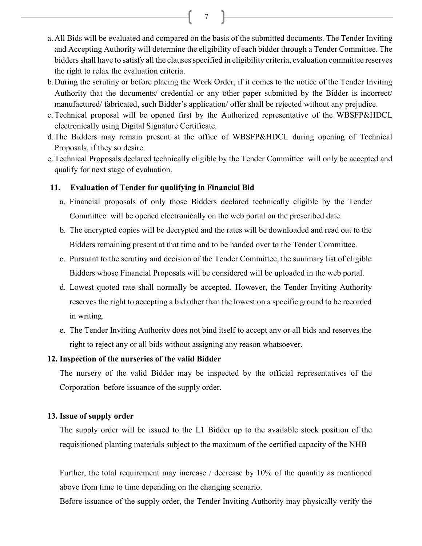7  $\Box$ 

- a. All Bids will be evaluated and compared on the basis of the submitted documents. The Tender Inviting and Accepting Authority will determine the eligibility of each bidder through a Tender Committee. The bidders shall have to satisfy all the clauses specified in eligibility criteria, evaluation committee reserves the right to relax the evaluation criteria.
- b.During the scrutiny or before placing the Work Order, if it comes to the notice of the Tender Inviting Authority that the documents/ credential or any other paper submitted by the Bidder is incorrect/ manufactured/ fabricated, such Bidder's application/ offer shall be rejected without any prejudice.
- c.Technical proposal will be opened first by the Authorized representative of the WBSFP&HDCL electronically using Digital Signature Certificate.
- d.The Bidders may remain present at the office of WBSFP&HDCL during opening of Technical Proposals, if they so desire.
- e.Technical Proposals declared technically eligible by the Tender Committee will only be accepted and qualify for next stage of evaluation.

#### 11. Evaluation of Tender for qualifying in Financial Bid

- a. Financial proposals of only those Bidders declared technically eligible by the Tender Committee will be opened electronically on the web portal on the prescribed date.
- b. The encrypted copies will be decrypted and the rates will be downloaded and read out to the Bidders remaining present at that time and to be handed over to the Tender Committee.
- c. Pursuant to the scrutiny and decision of the Tender Committee, the summary list of eligible Bidders whose Financial Proposals will be considered will be uploaded in the web portal.
- d. Lowest quoted rate shall normally be accepted. However, the Tender Inviting Authority reserves the right to accepting a bid other than the lowest on a specific ground to be recorded in writing.
- e. The Tender Inviting Authority does not bind itself to accept any or all bids and reserves the right to reject any or all bids without assigning any reason whatsoever.

#### 12. Inspection of the nurseries of the valid Bidder

The nursery of the valid Bidder may be inspected by the official representatives of the Corporation before issuance of the supply order.

#### 13. Issue of supply order

The supply order will be issued to the L1 Bidder up to the available stock position of the requisitioned planting materials subject to the maximum of the certified capacity of the NHB

Further, the total requirement may increase / decrease by 10% of the quantity as mentioned above from time to time depending on the changing scenario.

Before issuance of the supply order, the Tender Inviting Authority may physically verify the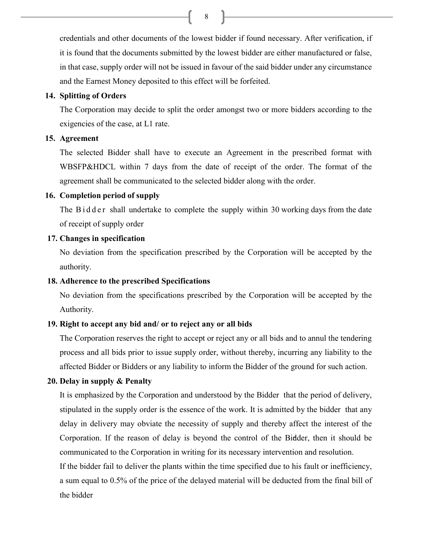8

credentials and other documents of the lowest bidder if found necessary. After verification, if it is found that the documents submitted by the lowest bidder are either manufactured or false, in that case, supply order will not be issued in favour of the said bidder under any circumstance and the Earnest Money deposited to this effect will be forfeited.

## 14. Splitting of Orders

The Corporation may decide to split the order amongst two or more bidders according to the exigencies of the case, at L1 rate.

## 15. Agreement

The selected Bidder shall have to execute an Agreement in the prescribed format with WBSFP&HDCL within 7 days from the date of receipt of the order. The format of the agreement shall be communicated to the selected bidder along with the order.

#### 16. Completion period of supply

The  $B$  i d d e r shall undertake to complete the supply within 30 working days from the date of receipt of supply order

## 17. Changes in specification

No deviation from the specification prescribed by the Corporation will be accepted by the authority.

## 18. Adherence to the prescribed Specifications

No deviation from the specifications prescribed by the Corporation will be accepted by the Authority.

## 19. Right to accept any bid and/ or to reject any or all bids

The Corporation reserves the right to accept or reject any or all bids and to annul the tendering process and all bids prior to issue supply order, without thereby, incurring any liability to the affected Bidder or Bidders or any liability to inform the Bidder of the ground for such action.

## 20. Delay in supply & Penalty

It is emphasized by the Corporation and understood by the Bidder that the period of delivery, stipulated in the supply order is the essence of the work. It is admitted by the bidder that any delay in delivery may obviate the necessity of supply and thereby affect the interest of the Corporation. If the reason of delay is beyond the control of the Bidder, then it should be communicated to the Corporation in writing for its necessary intervention and resolution.

If the bidder fail to deliver the plants within the time specified due to his fault or inefficiency, a sum equal to 0.5% of the price of the delayed material will be deducted from the final bill of the bidder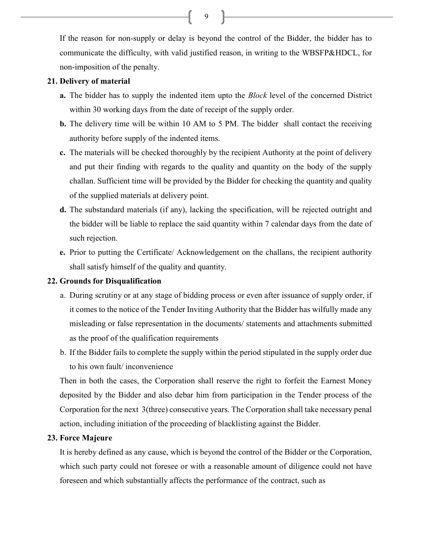If the reason for non-supply or delay is beyond the control of the Bidder, the bidder has to communicate the difficulty, with valid justified reason, in writing to the WBSFP&HDCL, for non-imposition of the penalty.

## 21. Delivery of material

- a. The bidder has to supply the indented item upto the *Block* level of the concerned District within 30 working days from the date of receipt of the supply order.
- b. The delivery time will be within 10 AM to 5 PM. The bidder shall contact the receiving authority before supply of the indented items.
- c. The materials will be checked thoroughly by the recipient Authority at the point of delivery and put their finding with regards to the quality and quantity on the body of the supply challan. Sufficient time will be provided by the Bidder for checking the quantity and quality of the supplied materials at delivery point.
- d. The substandard materials (if any), lacking the specification, will be rejected outright and the bidder will be liable to replace the said quantity within 7 calendar days from the date of such rejection.
- e. Prior to putting the Certificate/ Acknowledgement on the challans, the recipient authority shall satisfy himself of the quality and quantity.

## 22. Grounds for Disqualification

- a. During scrutiny or at any stage of bidding process or even after issuance of supply order, if it comes to the notice of the Tender Inviting Authority that the Bidder has wilfully made any misleading or false representation in the documents/ statements and attachments submitted as the proof of the qualification requirements
- b. If the Bidder fails to complete the supply within the period stipulated in the supply order due to his own fault/ inconvenience

Then in both the cases, the Corporation shall reserve the right to forfeit the Earnest Money deposited by the Bidder and also debar him from participation in the Tender process of the Corporation for the next 3(three) consecutive years. The Corporation shall take necessary penal action, including initiation of the proceeding of blacklisting against the Bidder.

#### 23. Force Majeure

It is hereby defined as any cause, which is beyond the control of the Bidder or the Corporation, which such party could not foresee or with a reasonable amount of diligence could not have foreseen and which substantially affects the performance of the contract, such as

9  $\Box$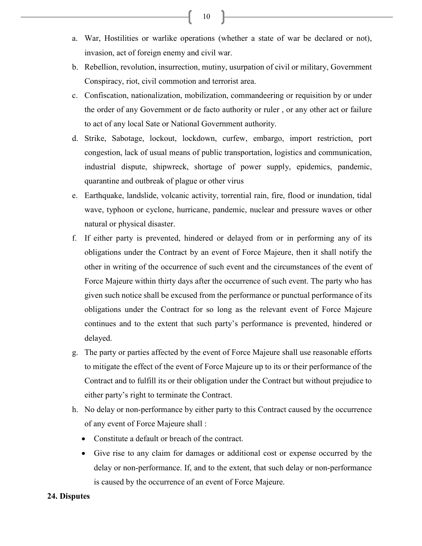- a. War, Hostilities or warlike operations (whether a state of war be declared or not), invasion, act of foreign enemy and civil war.
- b. Rebellion, revolution, insurrection, mutiny, usurpation of civil or military, Government Conspiracy, riot, civil commotion and terrorist area.
- c. Confiscation, nationalization, mobilization, commandeering or requisition by or under the order of any Government or de facto authority or ruler , or any other act or failure to act of any local Sate or National Government authority.
- d. Strike, Sabotage, lockout, lockdown, curfew, embargo, import restriction, port congestion, lack of usual means of public transportation, logistics and communication, industrial dispute, shipwreck, shortage of power supply, epidemics, pandemic, quarantine and outbreak of plague or other virus
- e. Earthquake, landslide, volcanic activity, torrential rain, fire, flood or inundation, tidal wave, typhoon or cyclone, hurricane, pandemic, nuclear and pressure waves or other natural or physical disaster.
- f. If either party is prevented, hindered or delayed from or in performing any of its obligations under the Contract by an event of Force Majeure, then it shall notify the other in writing of the occurrence of such event and the circumstances of the event of Force Majeure within thirty days after the occurrence of such event. The party who has given such notice shall be excused from the performance or punctual performance of its obligations under the Contract for so long as the relevant event of Force Majeure continues and to the extent that such party's performance is prevented, hindered or delayed.
- g. The party or parties affected by the event of Force Majeure shall use reasonable efforts to mitigate the effect of the event of Force Majeure up to its or their performance of the Contract and to fulfill its or their obligation under the Contract but without prejudice to either party's right to terminate the Contract.
- h. No delay or non-performance by either party to this Contract caused by the occurrence of any event of Force Majeure shall :
	- Constitute a default or breach of the contract.
	- Give rise to any claim for damages or additional cost or expense occurred by the delay or non-performance. If, and to the extent, that such delay or non-performance is caused by the occurrence of an event of Force Majeure.

#### 24. Disputes

 $10$   $\overline{\phantom{1}}$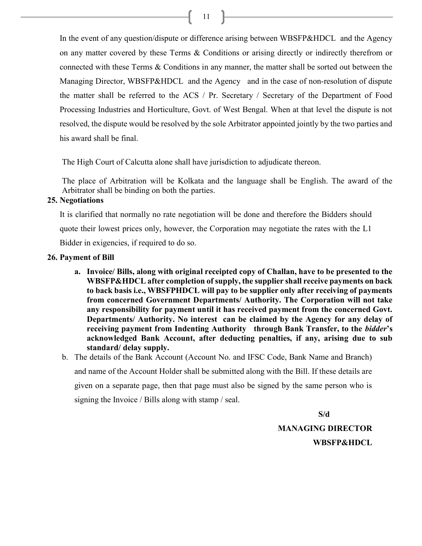In the event of any question/dispute or difference arising between WBSFP&HDCL and the Agency on any matter covered by these Terms & Conditions or arising directly or indirectly therefrom or connected with these Terms & Conditions in any manner, the matter shall be sorted out between the Managing Director, WBSFP&HDCL and the Agency and in the case of non-resolution of dispute the matter shall be referred to the ACS / Pr. Secretary / Secretary of the Department of Food Processing Industries and Horticulture, Govt. of West Bengal. When at that level the dispute is not resolved, the dispute would be resolved by the sole Arbitrator appointed jointly by the two parties and his award shall be final.

The High Court of Calcutta alone shall have jurisdiction to adjudicate thereon.

The place of Arbitration will be Kolkata and the language shall be English. The award of the Arbitrator shall be binding on both the parties.

#### 25. Negotiations

It is clarified that normally no rate negotiation will be done and therefore the Bidders should quote their lowest prices only, however, the Corporation may negotiate the rates with the L1 Bidder in exigencies, if required to do so.

#### 26. Payment of Bill

- a. Invoice/ Bills, along with original receipted copy of Challan, have to be presented to the WBSFP&HDCL after completion of supply, the supplier shall receive payments on back to back basis i.e., WBSFPHDCL will pay to be supplier only after receiving of payments from concerned Government Departments/ Authority. The Corporation will not take any responsibility for payment until it has received payment from the concerned Govt. Departments/ Authority. No interest can be claimed by the Agency for any delay of receiving payment from Indenting Authority through Bank Transfer, to the *bidder's* acknowledged Bank Account, after deducting penalties, if any, arising due to sub standard/ delay supply.
- b. The details of the Bank Account (Account No. and IFSC Code, Bank Name and Branch) and name of the Account Holder shall be submitted along with the Bill. If these details are given on a separate page, then that page must also be signed by the same person who is signing the Invoice / Bills along with stamp / seal.

S/d

MANAGING DIRECTOR WBSFP&HDCL

 $11 \quad \boxed{\qquad}$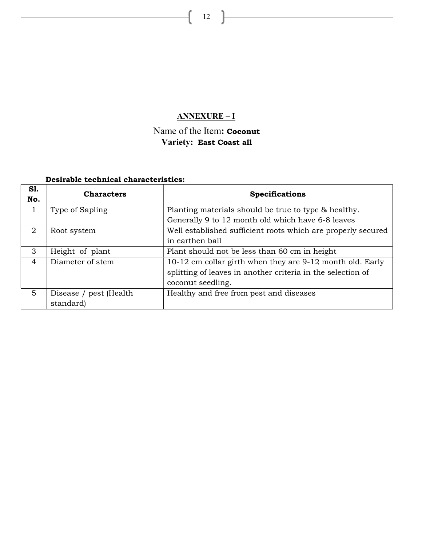## ANNEXURE – I

# Name of the Item: Coconut Variety: East Coast all

## Desirable technical characteristics:

| S1.<br>No.     | <b>Characters</b>       | <b>Specifications</b>                                        |
|----------------|-------------------------|--------------------------------------------------------------|
|                | Type of Sapling         | Planting materials should be true to type & healthy.         |
|                |                         | Generally 9 to 12 month old which have 6-8 leaves            |
| 2              | Root system             | Well established sufficient roots which are properly secured |
|                |                         | in earthen ball                                              |
| 3              | Height of plant         | Plant should not be less than 60 cm in height                |
| $\overline{4}$ | Diameter of stem        | 10-12 cm collar girth when they are 9-12 month old. Early    |
|                |                         | splitting of leaves in another criteria in the selection of  |
|                |                         | coconut seedling.                                            |
| 5.             | Disease / pest (Health) | Healthy and free from pest and diseases                      |
|                | standard)               |                                                              |

 $12$ 

ſ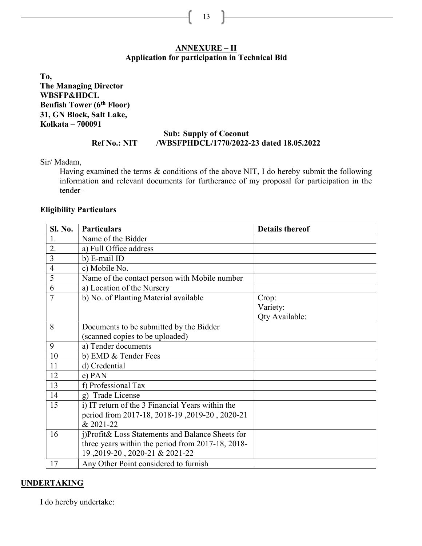#### ANNEXURE – II Application for participation in Technical Bid

To, The Managing Director WBSFP&HDCL Benfish Tower (6<sup>th</sup> Floor) 31, GN Block, Salt Lake, Kolkata – 700091

### Sub: Supply of Coconut Ref No.: NIT /WBSFPHDCL/1770/2022-23 dated 18.05.2022

Sir/ Madam,

Having examined the terms & conditions of the above NIT, I do hereby submit the following information and relevant documents for furtherance of my proposal for participation in the tender –

#### Eligibility Particulars

| Sl. No.        | <b>Particulars</b>                                | <b>Details thereof</b>              |
|----------------|---------------------------------------------------|-------------------------------------|
| 1.             | Name of the Bidder                                |                                     |
| 2.             | a) Full Office address                            |                                     |
| $\overline{3}$ | b) E-mail ID                                      |                                     |
| $\overline{4}$ | c) Mobile No.                                     |                                     |
| 5              | Name of the contact person with Mobile number     |                                     |
| 6              | a) Location of the Nursery                        |                                     |
| $\overline{7}$ | b) No. of Planting Material available             | Crop:<br>Variety:<br>Qty Available: |
| 8              | Documents to be submitted by the Bidder           |                                     |
|                | (scanned copies to be uploaded)                   |                                     |
| 9              | a) Tender documents                               |                                     |
| 10             | b) EMD & Tender Fees                              |                                     |
| 11             | d) Credential                                     |                                     |
| 12             | e) PAN                                            |                                     |
| 13             | f) Professional Tax                               |                                     |
| 14             | g) Trade License                                  |                                     |
| 15             | i) IT return of the 3 Financial Years within the  |                                     |
|                | period from 2017-18, 2018-19, 2019-20, 2020-21    |                                     |
|                | & 2021-22                                         |                                     |
| 16             | j)Profit& Loss Statements and Balance Sheets for  |                                     |
|                | three years within the period from 2017-18, 2018- |                                     |
|                | 19, 2019-20, 2020-21 & 2021-22                    |                                     |
| 17             | Any Other Point considered to furnish             |                                     |

## UNDERTAKING

I do hereby undertake:

13